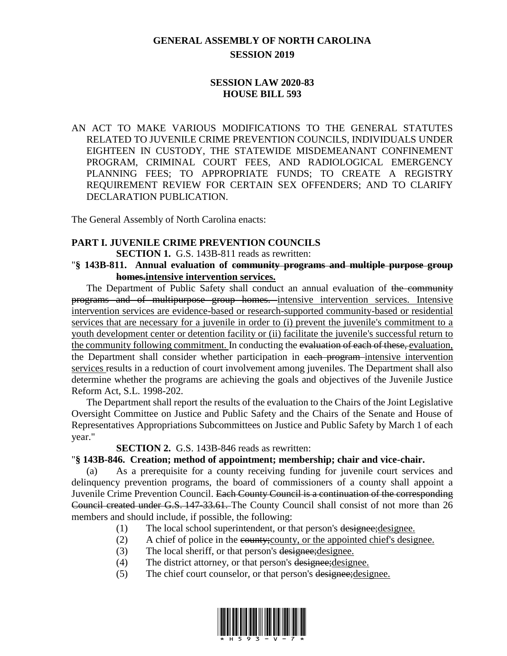# **GENERAL ASSEMBLY OF NORTH CAROLINA SESSION 2019**

## **SESSION LAW 2020-83 HOUSE BILL 593**

AN ACT TO MAKE VARIOUS MODIFICATIONS TO THE GENERAL STATUTES RELATED TO JUVENILE CRIME PREVENTION COUNCILS, INDIVIDUALS UNDER EIGHTEEN IN CUSTODY, THE STATEWIDE MISDEMEANANT CONFINEMENT PROGRAM, CRIMINAL COURT FEES, AND RADIOLOGICAL EMERGENCY PLANNING FEES; TO APPROPRIATE FUNDS; TO CREATE A REGISTRY REQUIREMENT REVIEW FOR CERTAIN SEX OFFENDERS; AND TO CLARIFY DECLARATION PUBLICATION.

The General Assembly of North Carolina enacts:

## **PART I. JUVENILE CRIME PREVENTION COUNCILS**

**SECTION 1.** G.S. 143B-811 reads as rewritten:

#### "**§ 143B-811. Annual evaluation of community programs and multiple purpose group homes.intensive intervention services.**

The Department of Public Safety shall conduct an annual evaluation of the community programs and of multipurpose group homes. intensive intervention services. Intensive intervention services are evidence-based or research-supported community-based or residential services that are necessary for a juvenile in order to (i) prevent the juvenile's commitment to a youth development center or detention facility or (ii) facilitate the juvenile's successful return to the community following commitment. In conducting the evaluation of each of these, evaluation, the Department shall consider whether participation in each program intensive intervention services results in a reduction of court involvement among juveniles. The Department shall also determine whether the programs are achieving the goals and objectives of the Juvenile Justice Reform Act, S.L. 1998-202.

The Department shall report the results of the evaluation to the Chairs of the Joint Legislative Oversight Committee on Justice and Public Safety and the Chairs of the Senate and House of Representatives Appropriations Subcommittees on Justice and Public Safety by March 1 of each year."

**SECTION 2.** G.S. 143B-846 reads as rewritten:

## "**§ 143B-846. Creation; method of appointment; membership; chair and vice-chair.**

(a) As a prerequisite for a county receiving funding for juvenile court services and delinquency prevention programs, the board of commissioners of a county shall appoint a Juvenile Crime Prevention Council. Each County Council is a continuation of the corresponding Council created under G.S. 147-33.61. The County Council shall consist of not more than 26 members and should include, if possible, the following:

- (1) The local school superintendent, or that person's designee;designee.
- (2) A chief of police in the county;county, or the appointed chief's designee.
- (3) The local sheriff, or that person's designee;designee.
- (4) The district attorney, or that person's designee;designee.
- (5) The chief court counselor, or that person's designee; designee.

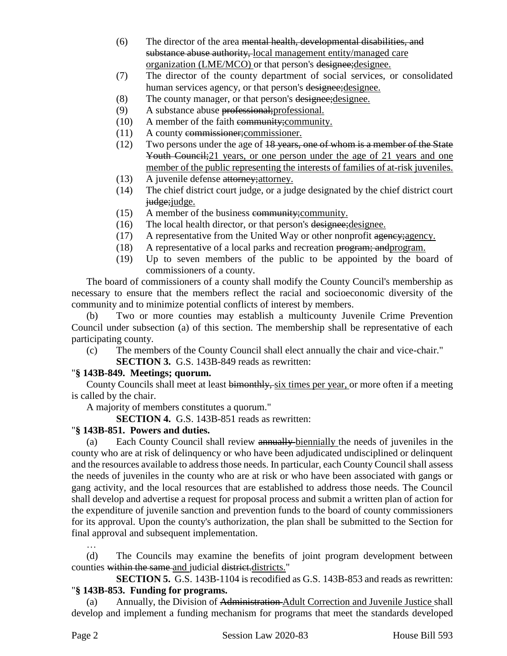- (6) The director of the area mental health, developmental disabilities, and substance abuse authority, local management entity/managed care organization (LME/MCO) or that person's designee;designee.
- (7) The director of the county department of social services, or consolidated human services agency, or that person's designee; designee.
- (8) The county manager, or that person's designee;designee.
- (9) A substance abuse professional;professional.
- (10) A member of the faith community;community.
- (11) A county commissioner;commissioner.
- (12) Two persons under the age of 18 years, one of whom is a member of the State Youth Council;21 years, or one person under the age of 21 years and one member of the public representing the interests of families of at-risk juveniles.
- (13) A juvenile defense attorney;attorney.
- (14) The chief district court judge, or a judge designated by the chief district court judge; judge.
- (15) A member of the business community;community.
- (16) The local health director, or that person's designee;designee.
- $(17)$  A representative from the United Way or other nonprofit agency; agency.
- (18) A representative of a local parks and recreation program; andprogram.
- (19) Up to seven members of the public to be appointed by the board of commissioners of a county.

The board of commissioners of a county shall modify the County Council's membership as necessary to ensure that the members reflect the racial and socioeconomic diversity of the community and to minimize potential conflicts of interest by members.

(b) Two or more counties may establish a multicounty Juvenile Crime Prevention Council under subsection (a) of this section. The membership shall be representative of each participating county.

(c) The members of the County Council shall elect annually the chair and vice-chair." **SECTION 3.** G.S. 143B-849 reads as rewritten:

## "**§ 143B-849. Meetings; quorum.**

County Councils shall meet at least bimonthly, six times per year, or more often if a meeting is called by the chair.

A majority of members constitutes a quorum."

**SECTION 4.** G.S. 143B-851 reads as rewritten:

## "**§ 143B-851. Powers and duties.**

(a) Each County Council shall review annually biennially the needs of juveniles in the county who are at risk of delinquency or who have been adjudicated undisciplined or delinquent and the resources available to address those needs. In particular, each County Council shall assess the needs of juveniles in the county who are at risk or who have been associated with gangs or gang activity, and the local resources that are established to address those needs. The Council shall develop and advertise a request for proposal process and submit a written plan of action for the expenditure of juvenile sanction and prevention funds to the board of county commissioners for its approval. Upon the county's authorization, the plan shall be submitted to the Section for final approval and subsequent implementation.

(d) The Councils may examine the benefits of joint program development between counties within the same and judicial district.districts."

**SECTION 5.** G.S. 143B-1104 is recodified as G.S. 143B-853 and reads as rewritten: "**§ 143B-853. Funding for programs.**

(a) Annually, the Division of Administration Adult Correction and Juvenile Justice shall develop and implement a funding mechanism for programs that meet the standards developed

…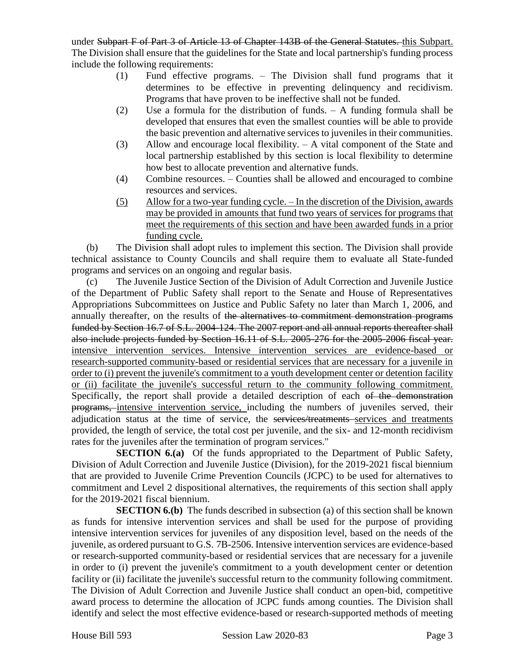under Subpart F of Part 3 of Article 13 of Chapter 143B of the General Statutes. this Subpart. The Division shall ensure that the guidelines for the State and local partnership's funding process include the following requirements:

- (1) Fund effective programs. The Division shall fund programs that it determines to be effective in preventing delinquency and recidivism. Programs that have proven to be ineffective shall not be funded.
- (2) Use a formula for the distribution of funds. A funding formula shall be developed that ensures that even the smallest counties will be able to provide the basic prevention and alternative services to juveniles in their communities.
- (3) Allow and encourage local flexibility. A vital component of the State and local partnership established by this section is local flexibility to determine how best to allocate prevention and alternative funds.
- (4) Combine resources. Counties shall be allowed and encouraged to combine resources and services.
- (5) Allow for a two-year funding cycle. In the discretion of the Division, awards may be provided in amounts that fund two years of services for programs that meet the requirements of this section and have been awarded funds in a prior funding cycle.

(b) The Division shall adopt rules to implement this section. The Division shall provide technical assistance to County Councils and shall require them to evaluate all State-funded programs and services on an ongoing and regular basis.

(c) The Juvenile Justice Section of the Division of Adult Correction and Juvenile Justice of the Department of Public Safety shall report to the Senate and House of Representatives Appropriations Subcommittees on Justice and Public Safety no later than March 1, 2006, and annually thereafter, on the results of the alternatives to commitment demonstration programs funded by Section 16.7 of S.L. 2004-124. The 2007 report and all annual reports thereafter shall also include projects funded by Section 16.11 of S.L. 2005-276 for the 2005-2006 fiscal year. intensive intervention services. Intensive intervention services are evidence-based or research-supported community-based or residential services that are necessary for a juvenile in order to (i) prevent the juvenile's commitment to a youth development center or detention facility or (ii) facilitate the juvenile's successful return to the community following commitment. Specifically, the report shall provide a detailed description of each of the demonstration programs, intensive intervention service, including the numbers of juveniles served, their adjudication status at the time of service, the services/treatments services and treatments provided, the length of service, the total cost per juvenile, and the six- and 12-month recidivism rates for the juveniles after the termination of program services."

**SECTION 6.(a)** Of the funds appropriated to the Department of Public Safety, Division of Adult Correction and Juvenile Justice (Division), for the 2019-2021 fiscal biennium that are provided to Juvenile Crime Prevention Councils (JCPC) to be used for alternatives to commitment and Level 2 dispositional alternatives, the requirements of this section shall apply for the 2019-2021 fiscal biennium.

**SECTION 6.(b)** The funds described in subsection (a) of this section shall be known as funds for intensive intervention services and shall be used for the purpose of providing intensive intervention services for juveniles of any disposition level, based on the needs of the juvenile, as ordered pursuant to G.S. 7B-2506. Intensive intervention services are evidence-based or research-supported community-based or residential services that are necessary for a juvenile in order to (i) prevent the juvenile's commitment to a youth development center or detention facility or (ii) facilitate the juvenile's successful return to the community following commitment. The Division of Adult Correction and Juvenile Justice shall conduct an open-bid, competitive award process to determine the allocation of JCPC funds among counties. The Division shall identify and select the most effective evidence-based or research-supported methods of meeting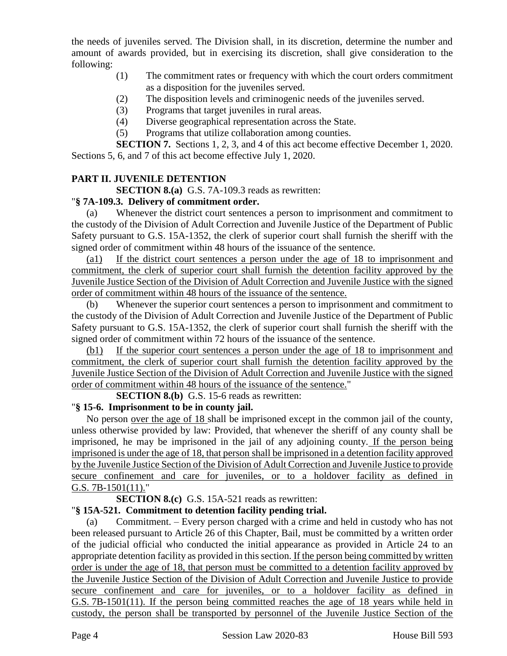the needs of juveniles served. The Division shall, in its discretion, determine the number and amount of awards provided, but in exercising its discretion, shall give consideration to the following:

- (1) The commitment rates or frequency with which the court orders commitment as a disposition for the juveniles served.
- (2) The disposition levels and criminogenic needs of the juveniles served.
- (3) Programs that target juveniles in rural areas.
- (4) Diverse geographical representation across the State.
- (5) Programs that utilize collaboration among counties.

**SECTION 7.** Sections 1, 2, 3, and 4 of this act become effective December 1, 2020. Sections 5, 6, and 7 of this act become effective July 1, 2020.

# **PART II. JUVENILE DETENTION**

**SECTION 8.(a)** G.S. 7A-109.3 reads as rewritten:

## "**§ 7A-109.3. Delivery of commitment order.**

(a) Whenever the district court sentences a person to imprisonment and commitment to the custody of the Division of Adult Correction and Juvenile Justice of the Department of Public Safety pursuant to G.S. 15A-1352, the clerk of superior court shall furnish the sheriff with the signed order of commitment within 48 hours of the issuance of the sentence.

(a1) If the district court sentences a person under the age of 18 to imprisonment and commitment, the clerk of superior court shall furnish the detention facility approved by the Juvenile Justice Section of the Division of Adult Correction and Juvenile Justice with the signed order of commitment within 48 hours of the issuance of the sentence.

(b) Whenever the superior court sentences a person to imprisonment and commitment to the custody of the Division of Adult Correction and Juvenile Justice of the Department of Public Safety pursuant to G.S. 15A-1352, the clerk of superior court shall furnish the sheriff with the signed order of commitment within 72 hours of the issuance of the sentence.

(b1) If the superior court sentences a person under the age of 18 to imprisonment and commitment, the clerk of superior court shall furnish the detention facility approved by the Juvenile Justice Section of the Division of Adult Correction and Juvenile Justice with the signed order of commitment within 48 hours of the issuance of the sentence."

**SECTION 8.(b)** G.S. 15-6 reads as rewritten:

# "**§ 15-6. Imprisonment to be in county jail.**

No person over the age of 18 shall be imprisoned except in the common jail of the county, unless otherwise provided by law: Provided, that whenever the sheriff of any county shall be imprisoned, he may be imprisoned in the jail of any adjoining county. If the person being imprisoned is under the age of 18, that person shall be imprisoned in a detention facility approved by the Juvenile Justice Section of the Division of Adult Correction and Juvenile Justice to provide secure confinement and care for juveniles, or to a holdover facility as defined in G.S. 7B-1501(11)."

## **SECTION 8.(c)** G.S. 15A-521 reads as rewritten:

# "**§ 15A-521. Commitment to detention facility pending trial.**

(a) Commitment. – Every person charged with a crime and held in custody who has not been released pursuant to Article 26 of this Chapter, Bail, must be committed by a written order of the judicial official who conducted the initial appearance as provided in Article 24 to an appropriate detention facility as provided in this section. If the person being committed by written order is under the age of 18, that person must be committed to a detention facility approved by the Juvenile Justice Section of the Division of Adult Correction and Juvenile Justice to provide secure confinement and care for juveniles, or to a holdover facility as defined in G.S. 7B-1501(11). If the person being committed reaches the age of 18 years while held in custody, the person shall be transported by personnel of the Juvenile Justice Section of the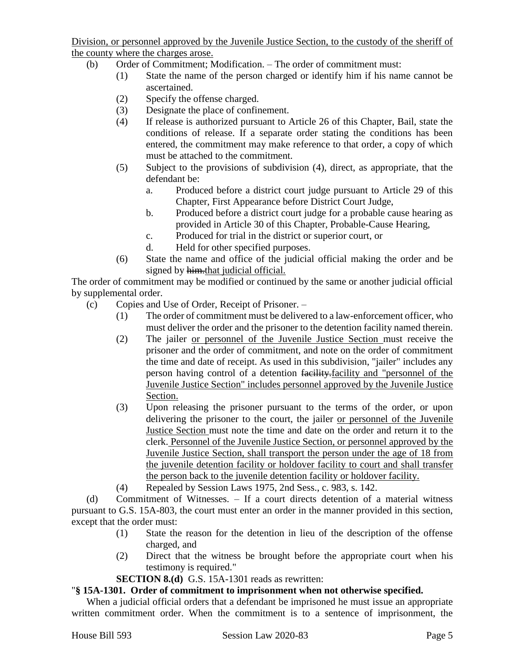Division, or personnel approved by the Juvenile Justice Section, to the custody of the sheriff of the county where the charges arose.

- (b) Order of Commitment; Modification. The order of commitment must:
	- (1) State the name of the person charged or identify him if his name cannot be ascertained.
	- (2) Specify the offense charged.
	- (3) Designate the place of confinement.
	- (4) If release is authorized pursuant to Article 26 of this Chapter, Bail, state the conditions of release. If a separate order stating the conditions has been entered, the commitment may make reference to that order, a copy of which must be attached to the commitment.
	- (5) Subject to the provisions of subdivision (4), direct, as appropriate, that the defendant be:
		- a. Produced before a district court judge pursuant to Article 29 of this Chapter, First Appearance before District Court Judge,
		- b. Produced before a district court judge for a probable cause hearing as provided in Article 30 of this Chapter, Probable-Cause Hearing,
		- c. Produced for trial in the district or superior court, or
		- d. Held for other specified purposes.
	- (6) State the name and office of the judicial official making the order and be signed by him.that judicial official.

The order of commitment may be modified or continued by the same or another judicial official by supplemental order.

- (c) Copies and Use of Order, Receipt of Prisoner.
	- (1) The order of commitment must be delivered to a law-enforcement officer, who must deliver the order and the prisoner to the detention facility named therein.
	- (2) The jailer or personnel of the Juvenile Justice Section must receive the prisoner and the order of commitment, and note on the order of commitment the time and date of receipt. As used in this subdivision, "jailer" includes any person having control of a detention facility.facility and "personnel of the Juvenile Justice Section" includes personnel approved by the Juvenile Justice Section.
	- (3) Upon releasing the prisoner pursuant to the terms of the order, or upon delivering the prisoner to the court, the jailer or personnel of the Juvenile Justice Section must note the time and date on the order and return it to the clerk. Personnel of the Juvenile Justice Section, or personnel approved by the Juvenile Justice Section, shall transport the person under the age of 18 from the juvenile detention facility or holdover facility to court and shall transfer the person back to the juvenile detention facility or holdover facility.
	- (4) Repealed by Session Laws 1975, 2nd Sess., c. 983, s. 142.

(d) Commitment of Witnesses. – If a court directs detention of a material witness pursuant to G.S. 15A-803, the court must enter an order in the manner provided in this section, except that the order must:

- (1) State the reason for the detention in lieu of the description of the offense charged, and
- (2) Direct that the witness be brought before the appropriate court when his testimony is required."

**SECTION 8.(d)** G.S. 15A-1301 reads as rewritten:

## "**§ 15A-1301. Order of commitment to imprisonment when not otherwise specified.**

When a judicial official orders that a defendant be imprisoned he must issue an appropriate written commitment order. When the commitment is to a sentence of imprisonment, the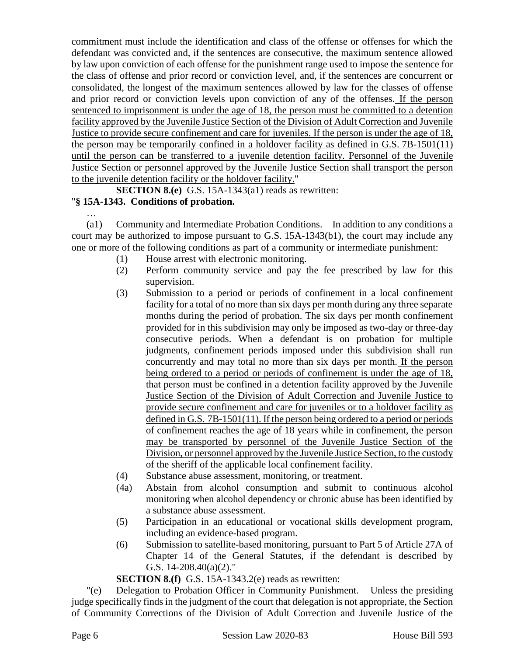commitment must include the identification and class of the offense or offenses for which the defendant was convicted and, if the sentences are consecutive, the maximum sentence allowed by law upon conviction of each offense for the punishment range used to impose the sentence for the class of offense and prior record or conviction level, and, if the sentences are concurrent or consolidated, the longest of the maximum sentences allowed by law for the classes of offense and prior record or conviction levels upon conviction of any of the offenses. If the person sentenced to imprisonment is under the age of 18, the person must be committed to a detention facility approved by the Juvenile Justice Section of the Division of Adult Correction and Juvenile Justice to provide secure confinement and care for juveniles. If the person is under the age of 18, the person may be temporarily confined in a holdover facility as defined in G.S. 7B-1501(11) until the person can be transferred to a juvenile detention facility. Personnel of the Juvenile Justice Section or personnel approved by the Juvenile Justice Section shall transport the person to the juvenile detention facility or the holdover facility."

**SECTION 8.(e)** G.S. 15A-1343(a1) reads as rewritten:

# "**§ 15A-1343. Conditions of probation.**

…

(a1) Community and Intermediate Probation Conditions. – In addition to any conditions a court may be authorized to impose pursuant to G.S. 15A-1343(b1), the court may include any one or more of the following conditions as part of a community or intermediate punishment:

- (1) House arrest with electronic monitoring.
- (2) Perform community service and pay the fee prescribed by law for this supervision.
- (3) Submission to a period or periods of confinement in a local confinement facility for a total of no more than six days per month during any three separate months during the period of probation. The six days per month confinement provided for in this subdivision may only be imposed as two-day or three-day consecutive periods. When a defendant is on probation for multiple judgments, confinement periods imposed under this subdivision shall run concurrently and may total no more than six days per month. If the person being ordered to a period or periods of confinement is under the age of 18, that person must be confined in a detention facility approved by the Juvenile Justice Section of the Division of Adult Correction and Juvenile Justice to provide secure confinement and care for juveniles or to a holdover facility as defined in G.S. 7B-1501(11). If the person being ordered to a period or periods of confinement reaches the age of 18 years while in confinement, the person may be transported by personnel of the Juvenile Justice Section of the Division, or personnel approved by the Juvenile Justice Section, to the custody of the sheriff of the applicable local confinement facility.
- (4) Substance abuse assessment, monitoring, or treatment.
- (4a) Abstain from alcohol consumption and submit to continuous alcohol monitoring when alcohol dependency or chronic abuse has been identified by a substance abuse assessment.
- (5) Participation in an educational or vocational skills development program, including an evidence-based program.
- (6) Submission to satellite-based monitoring, pursuant to Part 5 of Article 27A of Chapter 14 of the General Statutes, if the defendant is described by G.S. 14-208.40(a)(2)."

**SECTION 8.(f)** G.S. 15A-1343.2(e) reads as rewritten:

"(e) Delegation to Probation Officer in Community Punishment. – Unless the presiding judge specifically finds in the judgment of the court that delegation is not appropriate, the Section of Community Corrections of the Division of Adult Correction and Juvenile Justice of the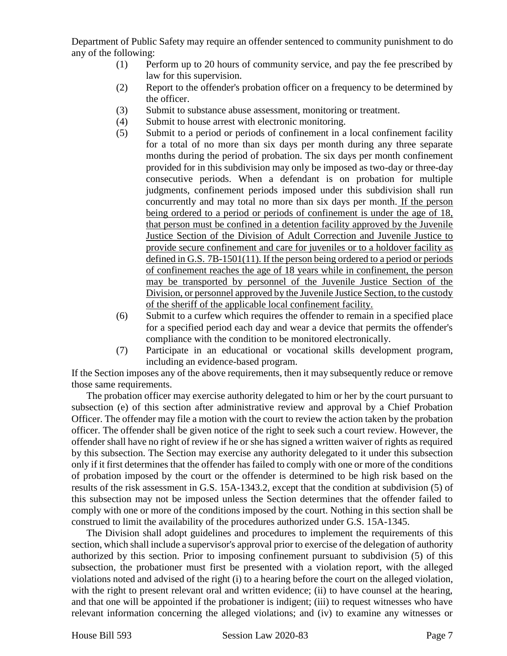Department of Public Safety may require an offender sentenced to community punishment to do any of the following:

- (1) Perform up to 20 hours of community service, and pay the fee prescribed by law for this supervision.
- (2) Report to the offender's probation officer on a frequency to be determined by the officer.
- (3) Submit to substance abuse assessment, monitoring or treatment.
- (4) Submit to house arrest with electronic monitoring.
- (5) Submit to a period or periods of confinement in a local confinement facility for a total of no more than six days per month during any three separate months during the period of probation. The six days per month confinement provided for in this subdivision may only be imposed as two-day or three-day consecutive periods. When a defendant is on probation for multiple judgments, confinement periods imposed under this subdivision shall run concurrently and may total no more than six days per month. If the person being ordered to a period or periods of confinement is under the age of 18, that person must be confined in a detention facility approved by the Juvenile Justice Section of the Division of Adult Correction and Juvenile Justice to provide secure confinement and care for juveniles or to a holdover facility as defined in G.S. 7B-1501(11). If the person being ordered to a period or periods of confinement reaches the age of 18 years while in confinement, the person may be transported by personnel of the Juvenile Justice Section of the Division, or personnel approved by the Juvenile Justice Section, to the custody of the sheriff of the applicable local confinement facility.
- (6) Submit to a curfew which requires the offender to remain in a specified place for a specified period each day and wear a device that permits the offender's compliance with the condition to be monitored electronically.
- (7) Participate in an educational or vocational skills development program, including an evidence-based program.

If the Section imposes any of the above requirements, then it may subsequently reduce or remove those same requirements.

The probation officer may exercise authority delegated to him or her by the court pursuant to subsection (e) of this section after administrative review and approval by a Chief Probation Officer. The offender may file a motion with the court to review the action taken by the probation officer. The offender shall be given notice of the right to seek such a court review. However, the offender shall have no right of review if he or she has signed a written waiver of rights as required by this subsection. The Section may exercise any authority delegated to it under this subsection only if it first determines that the offender has failed to comply with one or more of the conditions of probation imposed by the court or the offender is determined to be high risk based on the results of the risk assessment in G.S. 15A-1343.2, except that the condition at subdivision (5) of this subsection may not be imposed unless the Section determines that the offender failed to comply with one or more of the conditions imposed by the court. Nothing in this section shall be construed to limit the availability of the procedures authorized under G.S. 15A-1345.

The Division shall adopt guidelines and procedures to implement the requirements of this section, which shall include a supervisor's approval prior to exercise of the delegation of authority authorized by this section. Prior to imposing confinement pursuant to subdivision (5) of this subsection, the probationer must first be presented with a violation report, with the alleged violations noted and advised of the right (i) to a hearing before the court on the alleged violation, with the right to present relevant oral and written evidence; (ii) to have counsel at the hearing, and that one will be appointed if the probationer is indigent; (iii) to request witnesses who have relevant information concerning the alleged violations; and (iv) to examine any witnesses or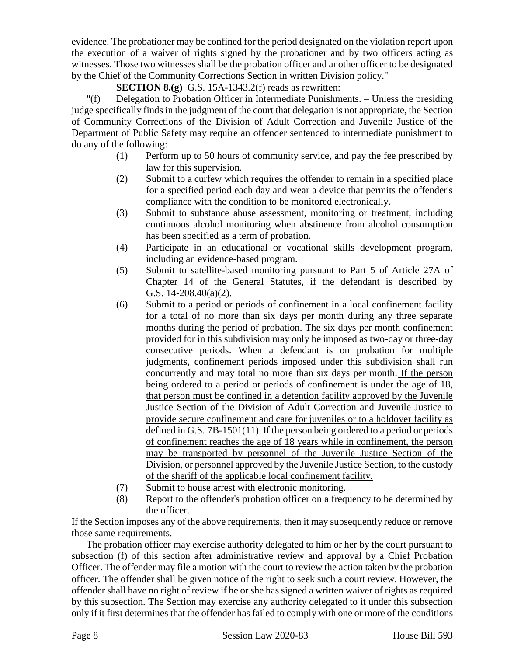evidence. The probationer may be confined for the period designated on the violation report upon the execution of a waiver of rights signed by the probationer and by two officers acting as witnesses. Those two witnesses shall be the probation officer and another officer to be designated by the Chief of the Community Corrections Section in written Division policy."

# **SECTION 8.(g)** G.S. 15A-1343.2(f) reads as rewritten:

"(f) Delegation to Probation Officer in Intermediate Punishments. – Unless the presiding judge specifically finds in the judgment of the court that delegation is not appropriate, the Section of Community Corrections of the Division of Adult Correction and Juvenile Justice of the Department of Public Safety may require an offender sentenced to intermediate punishment to do any of the following:

- (1) Perform up to 50 hours of community service, and pay the fee prescribed by law for this supervision.
- (2) Submit to a curfew which requires the offender to remain in a specified place for a specified period each day and wear a device that permits the offender's compliance with the condition to be monitored electronically.
- (3) Submit to substance abuse assessment, monitoring or treatment, including continuous alcohol monitoring when abstinence from alcohol consumption has been specified as a term of probation.
- (4) Participate in an educational or vocational skills development program, including an evidence-based program.
- (5) Submit to satellite-based monitoring pursuant to Part 5 of Article 27A of Chapter 14 of the General Statutes, if the defendant is described by G.S. 14-208.40(a)(2).
- (6) Submit to a period or periods of confinement in a local confinement facility for a total of no more than six days per month during any three separate months during the period of probation. The six days per month confinement provided for in this subdivision may only be imposed as two-day or three-day consecutive periods. When a defendant is on probation for multiple judgments, confinement periods imposed under this subdivision shall run concurrently and may total no more than six days per month. If the person being ordered to a period or periods of confinement is under the age of 18, that person must be confined in a detention facility approved by the Juvenile Justice Section of the Division of Adult Correction and Juvenile Justice to provide secure confinement and care for juveniles or to a holdover facility as defined in G.S. 7B-1501(11). If the person being ordered to a period or periods of confinement reaches the age of 18 years while in confinement, the person may be transported by personnel of the Juvenile Justice Section of the Division, or personnel approved by the Juvenile Justice Section, to the custody of the sheriff of the applicable local confinement facility.
- (7) Submit to house arrest with electronic monitoring.
- (8) Report to the offender's probation officer on a frequency to be determined by the officer.

If the Section imposes any of the above requirements, then it may subsequently reduce or remove those same requirements.

The probation officer may exercise authority delegated to him or her by the court pursuant to subsection (f) of this section after administrative review and approval by a Chief Probation Officer. The offender may file a motion with the court to review the action taken by the probation officer. The offender shall be given notice of the right to seek such a court review. However, the offender shall have no right of review if he or she has signed a written waiver of rights as required by this subsection. The Section may exercise any authority delegated to it under this subsection only if it first determines that the offender has failed to comply with one or more of the conditions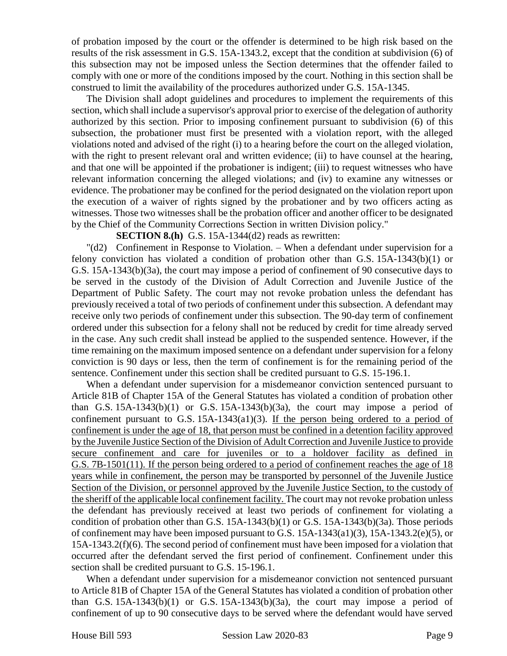of probation imposed by the court or the offender is determined to be high risk based on the results of the risk assessment in G.S. 15A-1343.2, except that the condition at subdivision (6) of this subsection may not be imposed unless the Section determines that the offender failed to comply with one or more of the conditions imposed by the court. Nothing in this section shall be construed to limit the availability of the procedures authorized under G.S. 15A-1345.

The Division shall adopt guidelines and procedures to implement the requirements of this section, which shall include a supervisor's approval prior to exercise of the delegation of authority authorized by this section. Prior to imposing confinement pursuant to subdivision (6) of this subsection, the probationer must first be presented with a violation report, with the alleged violations noted and advised of the right (i) to a hearing before the court on the alleged violation, with the right to present relevant oral and written evidence; (ii) to have counsel at the hearing, and that one will be appointed if the probationer is indigent; (iii) to request witnesses who have relevant information concerning the alleged violations; and (iv) to examine any witnesses or evidence. The probationer may be confined for the period designated on the violation report upon the execution of a waiver of rights signed by the probationer and by two officers acting as witnesses. Those two witnesses shall be the probation officer and another officer to be designated by the Chief of the Community Corrections Section in written Division policy."

**SECTION 8.(h)** G.S. 15A-1344(d2) reads as rewritten:

"(d2) Confinement in Response to Violation. – When a defendant under supervision for a felony conviction has violated a condition of probation other than G.S. 15A-1343(b)(1) or G.S. 15A-1343(b)(3a), the court may impose a period of confinement of 90 consecutive days to be served in the custody of the Division of Adult Correction and Juvenile Justice of the Department of Public Safety. The court may not revoke probation unless the defendant has previously received a total of two periods of confinement under this subsection. A defendant may receive only two periods of confinement under this subsection. The 90-day term of confinement ordered under this subsection for a felony shall not be reduced by credit for time already served in the case. Any such credit shall instead be applied to the suspended sentence. However, if the time remaining on the maximum imposed sentence on a defendant under supervision for a felony conviction is 90 days or less, then the term of confinement is for the remaining period of the sentence. Confinement under this section shall be credited pursuant to G.S. 15-196.1.

When a defendant under supervision for a misdemeanor conviction sentenced pursuant to Article 81B of Chapter 15A of the General Statutes has violated a condition of probation other than G.S.  $15A-1343(b)(1)$  or G.S.  $15A-1343(b)(3a)$ , the court may impose a period of confinement pursuant to G.S.  $15A-1343(a1)(3)$ . If the person being ordered to a period of confinement is under the age of 18, that person must be confined in a detention facility approved by the Juvenile Justice Section of the Division of Adult Correction and Juvenile Justice to provide secure confinement and care for juveniles or to a holdover facility as defined in G.S. 7B-1501(11). If the person being ordered to a period of confinement reaches the age of 18 years while in confinement, the person may be transported by personnel of the Juvenile Justice Section of the Division, or personnel approved by the Juvenile Justice Section, to the custody of the sheriff of the applicable local confinement facility. The court may not revoke probation unless the defendant has previously received at least two periods of confinement for violating a condition of probation other than G.S. 15A-1343(b)(1) or G.S. 15A-1343(b)(3a). Those periods of confinement may have been imposed pursuant to G.S. 15A-1343(a1)(3), 15A-1343.2(e)(5), or 15A-1343.2(f)(6). The second period of confinement must have been imposed for a violation that occurred after the defendant served the first period of confinement. Confinement under this section shall be credited pursuant to G.S. 15-196.1.

When a defendant under supervision for a misdemeanor conviction not sentenced pursuant to Article 81B of Chapter 15A of the General Statutes has violated a condition of probation other than G.S.  $15A-1343(b)(1)$  or G.S.  $15A-1343(b)(3a)$ , the court may impose a period of confinement of up to 90 consecutive days to be served where the defendant would have served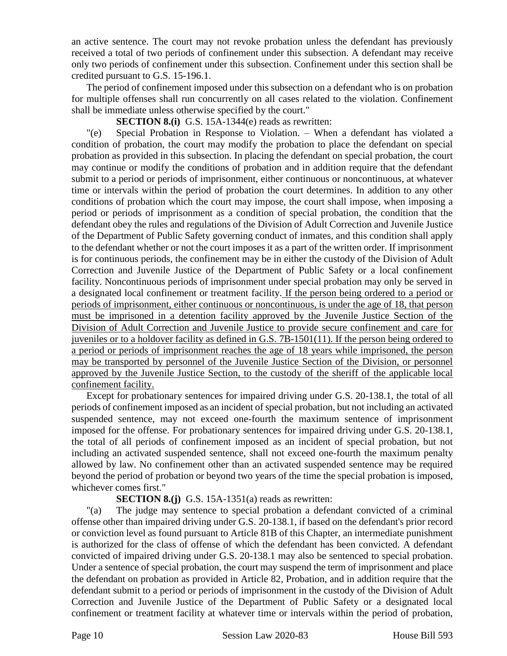an active sentence. The court may not revoke probation unless the defendant has previously received a total of two periods of confinement under this subsection. A defendant may receive only two periods of confinement under this subsection. Confinement under this section shall be credited pursuant to G.S. 15-196.1.

The period of confinement imposed under this subsection on a defendant who is on probation for multiple offenses shall run concurrently on all cases related to the violation. Confinement shall be immediate unless otherwise specified by the court."

**SECTION 8.(i)** G.S. 15A-1344(e) reads as rewritten:

"(e) Special Probation in Response to Violation. – When a defendant has violated a condition of probation, the court may modify the probation to place the defendant on special probation as provided in this subsection. In placing the defendant on special probation, the court may continue or modify the conditions of probation and in addition require that the defendant submit to a period or periods of imprisonment, either continuous or noncontinuous, at whatever time or intervals within the period of probation the court determines. In addition to any other conditions of probation which the court may impose, the court shall impose, when imposing a period or periods of imprisonment as a condition of special probation, the condition that the defendant obey the rules and regulations of the Division of Adult Correction and Juvenile Justice of the Department of Public Safety governing conduct of inmates, and this condition shall apply to the defendant whether or not the court imposes it as a part of the written order. If imprisonment is for continuous periods, the confinement may be in either the custody of the Division of Adult Correction and Juvenile Justice of the Department of Public Safety or a local confinement facility. Noncontinuous periods of imprisonment under special probation may only be served in a designated local confinement or treatment facility. If the person being ordered to a period or periods of imprisonment, either continuous or noncontinuous, is under the age of 18, that person must be imprisoned in a detention facility approved by the Juvenile Justice Section of the Division of Adult Correction and Juvenile Justice to provide secure confinement and care for juveniles or to a holdover facility as defined in G.S. 7B-1501(11). If the person being ordered to a period or periods of imprisonment reaches the age of 18 years while imprisoned, the person may be transported by personnel of the Juvenile Justice Section of the Division, or personnel approved by the Juvenile Justice Section, to the custody of the sheriff of the applicable local confinement facility.

Except for probationary sentences for impaired driving under G.S. 20-138.1, the total of all periods of confinement imposed as an incident of special probation, but not including an activated suspended sentence, may not exceed one-fourth the maximum sentence of imprisonment imposed for the offense. For probationary sentences for impaired driving under G.S. 20-138.1, the total of all periods of confinement imposed as an incident of special probation, but not including an activated suspended sentence, shall not exceed one-fourth the maximum penalty allowed by law. No confinement other than an activated suspended sentence may be required beyond the period of probation or beyond two years of the time the special probation is imposed, whichever comes first."

## **SECTION 8.(j)** G.S. 15A-1351(a) reads as rewritten:

"(a) The judge may sentence to special probation a defendant convicted of a criminal offense other than impaired driving under G.S. 20-138.1, if based on the defendant's prior record or conviction level as found pursuant to Article 81B of this Chapter, an intermediate punishment is authorized for the class of offense of which the defendant has been convicted. A defendant convicted of impaired driving under G.S. 20-138.1 may also be sentenced to special probation. Under a sentence of special probation, the court may suspend the term of imprisonment and place the defendant on probation as provided in Article 82, Probation, and in addition require that the defendant submit to a period or periods of imprisonment in the custody of the Division of Adult Correction and Juvenile Justice of the Department of Public Safety or a designated local confinement or treatment facility at whatever time or intervals within the period of probation,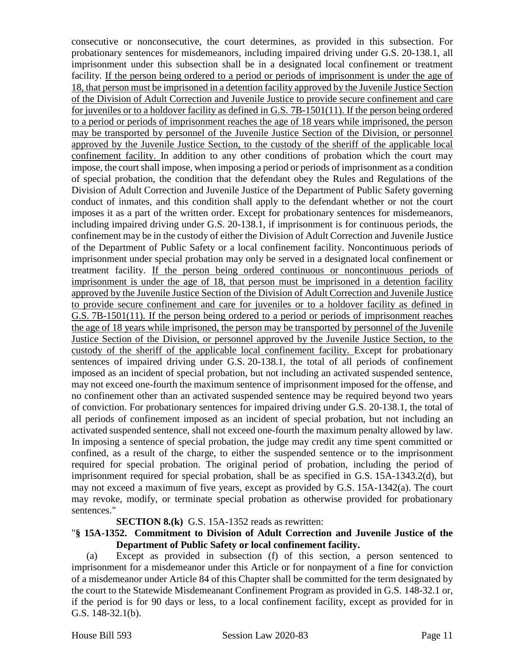consecutive or nonconsecutive, the court determines, as provided in this subsection. For probationary sentences for misdemeanors, including impaired driving under G.S. 20-138.1, all imprisonment under this subsection shall be in a designated local confinement or treatment facility. If the person being ordered to a period or periods of imprisonment is under the age of 18, that person must be imprisoned in a detention facility approved by the Juvenile Justice Section of the Division of Adult Correction and Juvenile Justice to provide secure confinement and care for juveniles or to a holdover facility as defined in G.S. 7B-1501(11). If the person being ordered to a period or periods of imprisonment reaches the age of 18 years while imprisoned, the person may be transported by personnel of the Juvenile Justice Section of the Division, or personnel approved by the Juvenile Justice Section, to the custody of the sheriff of the applicable local confinement facility. In addition to any other conditions of probation which the court may impose, the court shall impose, when imposing a period or periods of imprisonment as a condition of special probation, the condition that the defendant obey the Rules and Regulations of the Division of Adult Correction and Juvenile Justice of the Department of Public Safety governing conduct of inmates, and this condition shall apply to the defendant whether or not the court imposes it as a part of the written order. Except for probationary sentences for misdemeanors, including impaired driving under G.S. 20-138.1, if imprisonment is for continuous periods, the confinement may be in the custody of either the Division of Adult Correction and Juvenile Justice of the Department of Public Safety or a local confinement facility. Noncontinuous periods of imprisonment under special probation may only be served in a designated local confinement or treatment facility. If the person being ordered continuous or noncontinuous periods of imprisonment is under the age of 18, that person must be imprisoned in a detention facility approved by the Juvenile Justice Section of the Division of Adult Correction and Juvenile Justice to provide secure confinement and care for juveniles or to a holdover facility as defined in G.S. 7B-1501(11). If the person being ordered to a period or periods of imprisonment reaches the age of 18 years while imprisoned, the person may be transported by personnel of the Juvenile Justice Section of the Division, or personnel approved by the Juvenile Justice Section, to the custody of the sheriff of the applicable local confinement facility. Except for probationary sentences of impaired driving under G.S. 20-138.1, the total of all periods of confinement imposed as an incident of special probation, but not including an activated suspended sentence, may not exceed one-fourth the maximum sentence of imprisonment imposed for the offense, and no confinement other than an activated suspended sentence may be required beyond two years of conviction. For probationary sentences for impaired driving under G.S. 20-138.1, the total of all periods of confinement imposed as an incident of special probation, but not including an activated suspended sentence, shall not exceed one-fourth the maximum penalty allowed by law. In imposing a sentence of special probation, the judge may credit any time spent committed or confined, as a result of the charge, to either the suspended sentence or to the imprisonment required for special probation. The original period of probation, including the period of imprisonment required for special probation, shall be as specified in G.S. 15A-1343.2(d), but may not exceed a maximum of five years, except as provided by G.S. 15A-1342(a). The court may revoke, modify, or terminate special probation as otherwise provided for probationary sentences."

#### **SECTION 8.(k)** G.S. 15A-1352 reads as rewritten:

#### "**§ 15A-1352. Commitment to Division of Adult Correction and Juvenile Justice of the Department of Public Safety or local confinement facility.**

(a) Except as provided in subsection (f) of this section, a person sentenced to imprisonment for a misdemeanor under this Article or for nonpayment of a fine for conviction of a misdemeanor under Article 84 of this Chapter shall be committed for the term designated by the court to the Statewide Misdemeanant Confinement Program as provided in G.S. 148-32.1 or, if the period is for 90 days or less, to a local confinement facility, except as provided for in G.S. 148-32.1(b).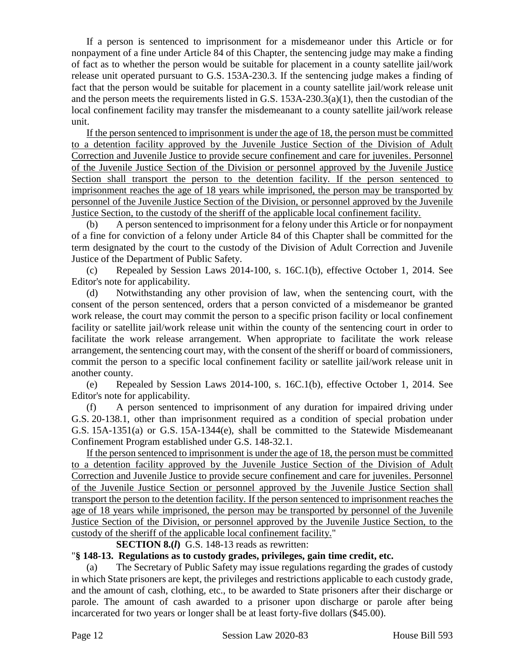If a person is sentenced to imprisonment for a misdemeanor under this Article or for nonpayment of a fine under Article 84 of this Chapter, the sentencing judge may make a finding of fact as to whether the person would be suitable for placement in a county satellite jail/work release unit operated pursuant to G.S. 153A-230.3. If the sentencing judge makes a finding of fact that the person would be suitable for placement in a county satellite jail/work release unit and the person meets the requirements listed in G.S.  $153A-230.3(a)(1)$ , then the custodian of the local confinement facility may transfer the misdemeanant to a county satellite jail/work release unit.

If the person sentenced to imprisonment is under the age of 18, the person must be committed to a detention facility approved by the Juvenile Justice Section of the Division of Adult Correction and Juvenile Justice to provide secure confinement and care for juveniles. Personnel of the Juvenile Justice Section of the Division or personnel approved by the Juvenile Justice Section shall transport the person to the detention facility. If the person sentenced to imprisonment reaches the age of 18 years while imprisoned, the person may be transported by personnel of the Juvenile Justice Section of the Division, or personnel approved by the Juvenile Justice Section, to the custody of the sheriff of the applicable local confinement facility.

(b) A person sentenced to imprisonment for a felony under this Article or for nonpayment of a fine for conviction of a felony under Article 84 of this Chapter shall be committed for the term designated by the court to the custody of the Division of Adult Correction and Juvenile Justice of the Department of Public Safety.

(c) Repealed by Session Laws 2014-100, s. 16C.1(b), effective October 1, 2014. See Editor's note for applicability.

(d) Notwithstanding any other provision of law, when the sentencing court, with the consent of the person sentenced, orders that a person convicted of a misdemeanor be granted work release, the court may commit the person to a specific prison facility or local confinement facility or satellite jail/work release unit within the county of the sentencing court in order to facilitate the work release arrangement. When appropriate to facilitate the work release arrangement, the sentencing court may, with the consent of the sheriff or board of commissioners, commit the person to a specific local confinement facility or satellite jail/work release unit in another county.

(e) Repealed by Session Laws 2014-100, s. 16C.1(b), effective October 1, 2014. See Editor's note for applicability.

(f) A person sentenced to imprisonment of any duration for impaired driving under G.S. 20-138.1, other than imprisonment required as a condition of special probation under G.S. 15A-1351(a) or G.S. 15A-1344(e), shall be committed to the Statewide Misdemeanant Confinement Program established under G.S. 148-32.1.

If the person sentenced to imprisonment is under the age of 18, the person must be committed to a detention facility approved by the Juvenile Justice Section of the Division of Adult Correction and Juvenile Justice to provide secure confinement and care for juveniles. Personnel of the Juvenile Justice Section or personnel approved by the Juvenile Justice Section shall transport the person to the detention facility. If the person sentenced to imprisonment reaches the age of 18 years while imprisoned, the person may be transported by personnel of the Juvenile Justice Section of the Division, or personnel approved by the Juvenile Justice Section, to the custody of the sheriff of the applicable local confinement facility."

#### **SECTION 8.(***l***)** G.S. 148-13 reads as rewritten:

#### "**§ 148-13. Regulations as to custody grades, privileges, gain time credit, etc.**

(a) The Secretary of Public Safety may issue regulations regarding the grades of custody in which State prisoners are kept, the privileges and restrictions applicable to each custody grade, and the amount of cash, clothing, etc., to be awarded to State prisoners after their discharge or parole. The amount of cash awarded to a prisoner upon discharge or parole after being incarcerated for two years or longer shall be at least forty-five dollars (\$45.00).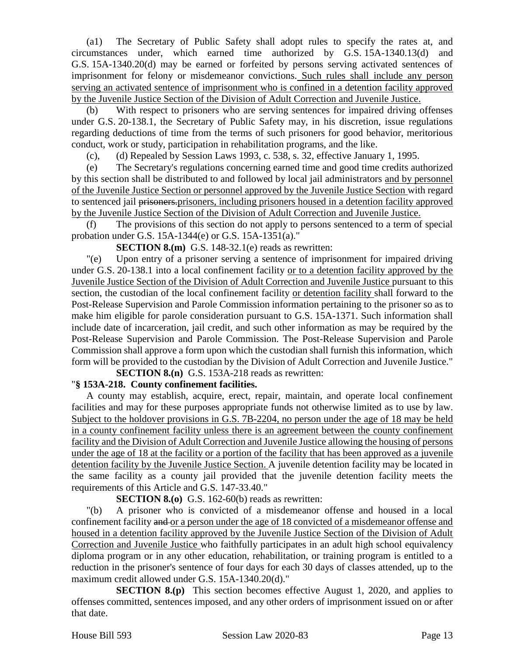(a1) The Secretary of Public Safety shall adopt rules to specify the rates at, and circumstances under, which earned time authorized by G.S. 15A-1340.13(d) and G.S. 15A-1340.20(d) may be earned or forfeited by persons serving activated sentences of imprisonment for felony or misdemeanor convictions. Such rules shall include any person serving an activated sentence of imprisonment who is confined in a detention facility approved by the Juvenile Justice Section of the Division of Adult Correction and Juvenile Justice.

(b) With respect to prisoners who are serving sentences for impaired driving offenses under G.S. 20-138.1, the Secretary of Public Safety may, in his discretion, issue regulations regarding deductions of time from the terms of such prisoners for good behavior, meritorious conduct, work or study, participation in rehabilitation programs, and the like.

(c), (d) Repealed by Session Laws 1993, c. 538, s. 32, effective January 1, 1995.

(e) The Secretary's regulations concerning earned time and good time credits authorized by this section shall be distributed to and followed by local jail administrators and by personnel of the Juvenile Justice Section or personnel approved by the Juvenile Justice Section with regard to sentenced jail prisoners.prisoners, including prisoners housed in a detention facility approved by the Juvenile Justice Section of the Division of Adult Correction and Juvenile Justice.

(f) The provisions of this section do not apply to persons sentenced to a term of special probation under G.S. 15A-1344(e) or G.S. 15A-1351(a)."

**SECTION 8.(m)** G.S. 148-32.1(e) reads as rewritten:

"(e) Upon entry of a prisoner serving a sentence of imprisonment for impaired driving under G.S. 20-138.1 into a local confinement facility or to a detention facility approved by the Juvenile Justice Section of the Division of Adult Correction and Juvenile Justice pursuant to this section, the custodian of the local confinement facility or detention facility shall forward to the Post-Release Supervision and Parole Commission information pertaining to the prisoner so as to make him eligible for parole consideration pursuant to G.S. 15A-1371. Such information shall include date of incarceration, jail credit, and such other information as may be required by the Post-Release Supervision and Parole Commission. The Post-Release Supervision and Parole Commission shall approve a form upon which the custodian shall furnish this information, which form will be provided to the custodian by the Division of Adult Correction and Juvenile Justice."

**SECTION 8.(n)** G.S. 153A-218 reads as rewritten:

## "**§ 153A-218. County confinement facilities.**

A county may establish, acquire, erect, repair, maintain, and operate local confinement facilities and may for these purposes appropriate funds not otherwise limited as to use by law. Subject to the holdover provisions in G.S. 7B-2204, no person under the age of 18 may be held in a county confinement facility unless there is an agreement between the county confinement facility and the Division of Adult Correction and Juvenile Justice allowing the housing of persons under the age of 18 at the facility or a portion of the facility that has been approved as a juvenile detention facility by the Juvenile Justice Section. A juvenile detention facility may be located in the same facility as a county jail provided that the juvenile detention facility meets the requirements of this Article and G.S. 147-33.40."

#### **SECTION 8.(0)** G.S. 162-60(b) reads as rewritten:

"(b) A prisoner who is convicted of a misdemeanor offense and housed in a local confinement facility and or a person under the age of 18 convicted of a misdemeanor offense and housed in a detention facility approved by the Juvenile Justice Section of the Division of Adult Correction and Juvenile Justice who faithfully participates in an adult high school equivalency diploma program or in any other education, rehabilitation, or training program is entitled to a reduction in the prisoner's sentence of four days for each 30 days of classes attended, up to the maximum credit allowed under G.S. 15A-1340.20(d)."

**SECTION 8.(p)** This section becomes effective August 1, 2020, and applies to offenses committed, sentences imposed, and any other orders of imprisonment issued on or after that date.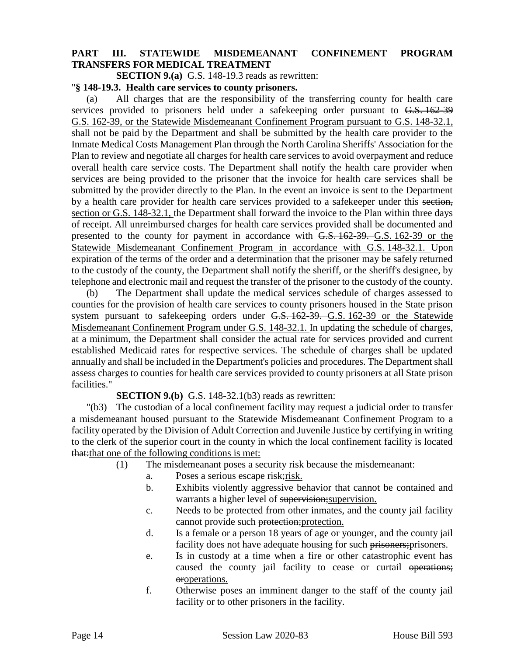## **PART III. STATEWIDE MISDEMEANANT CONFINEMENT PROGRAM TRANSFERS FOR MEDICAL TREATMENT**

**SECTION 9.(a)** G.S. 148-19.3 reads as rewritten:

#### "**§ 148-19.3. Health care services to county prisoners.**

(a) All charges that are the responsibility of the transferring county for health care services provided to prisoners held under a safekeeping order pursuant to G.S. 162-39 G.S. 162-39, or the Statewide Misdemeanant Confinement Program pursuant to G.S. 148-32.1, shall not be paid by the Department and shall be submitted by the health care provider to the Inmate Medical Costs Management Plan through the North Carolina Sheriffs' Association for the Plan to review and negotiate all charges for health care services to avoid overpayment and reduce overall health care service costs. The Department shall notify the health care provider when services are being provided to the prisoner that the invoice for health care services shall be submitted by the provider directly to the Plan. In the event an invoice is sent to the Department by a health care provider for health care services provided to a safekeeper under this section, section or G.S. 148-32.1, the Department shall forward the invoice to the Plan within three days of receipt. All unreimbursed charges for health care services provided shall be documented and presented to the county for payment in accordance with G.S. 162-39. G.S. 162-39 or the Statewide Misdemeanant Confinement Program in accordance with G.S. 148-32.1. Upon expiration of the terms of the order and a determination that the prisoner may be safely returned to the custody of the county, the Department shall notify the sheriff, or the sheriff's designee, by telephone and electronic mail and request the transfer of the prisoner to the custody of the county.

(b) The Department shall update the medical services schedule of charges assessed to counties for the provision of health care services to county prisoners housed in the State prison system pursuant to safekeeping orders under G.S. 162-39. G.S. 162-39 or the Statewide Misdemeanant Confinement Program under G.S. 148-32.1. In updating the schedule of charges, at a minimum, the Department shall consider the actual rate for services provided and current established Medicaid rates for respective services. The schedule of charges shall be updated annually and shall be included in the Department's policies and procedures. The Department shall assess charges to counties for health care services provided to county prisoners at all State prison facilities."

**SECTION 9.(b)** G.S. 148-32.1(b3) reads as rewritten:

"(b3) The custodian of a local confinement facility may request a judicial order to transfer a misdemeanant housed pursuant to the Statewide Misdemeanant Confinement Program to a facility operated by the Division of Adult Correction and Juvenile Justice by certifying in writing to the clerk of the superior court in the county in which the local confinement facility is located that:that one of the following conditions is met:

- (1) The misdemeanant poses a security risk because the misdemeanant:
	- a. Poses a serious escape risk; risk.
	- b. Exhibits violently aggressive behavior that cannot be contained and warrants a higher level of supervision; supervision.
	- c. Needs to be protected from other inmates, and the county jail facility cannot provide such protection; protection.
	- d. Is a female or a person 18 years of age or younger, and the county jail facility does not have adequate housing for such prisoners; prisoners.
	- e. Is in custody at a time when a fire or other catastrophic event has caused the county jail facility to cease or curtail operations; oroperations.
	- f. Otherwise poses an imminent danger to the staff of the county jail facility or to other prisoners in the facility.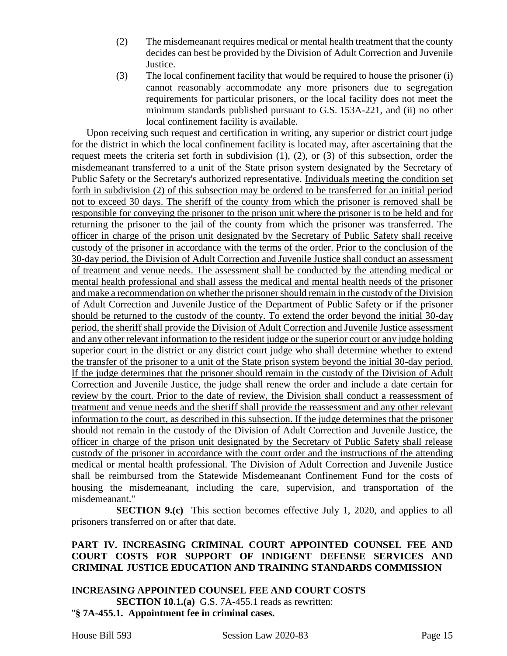- (2) The misdemeanant requires medical or mental health treatment that the county decides can best be provided by the Division of Adult Correction and Juvenile Justice.
- (3) The local confinement facility that would be required to house the prisoner (i) cannot reasonably accommodate any more prisoners due to segregation requirements for particular prisoners, or the local facility does not meet the minimum standards published pursuant to G.S. 153A-221, and (ii) no other local confinement facility is available.

Upon receiving such request and certification in writing, any superior or district court judge for the district in which the local confinement facility is located may, after ascertaining that the request meets the criteria set forth in subdivision (1), (2), or (3) of this subsection, order the misdemeanant transferred to a unit of the State prison system designated by the Secretary of Public Safety or the Secretary's authorized representative. Individuals meeting the condition set forth in subdivision (2) of this subsection may be ordered to be transferred for an initial period not to exceed 30 days. The sheriff of the county from which the prisoner is removed shall be responsible for conveying the prisoner to the prison unit where the prisoner is to be held and for returning the prisoner to the jail of the county from which the prisoner was transferred. The officer in charge of the prison unit designated by the Secretary of Public Safety shall receive custody of the prisoner in accordance with the terms of the order. Prior to the conclusion of the 30-day period, the Division of Adult Correction and Juvenile Justice shall conduct an assessment of treatment and venue needs. The assessment shall be conducted by the attending medical or mental health professional and shall assess the medical and mental health needs of the prisoner and make a recommendation on whether the prisoner should remain in the custody of the Division of Adult Correction and Juvenile Justice of the Department of Public Safety or if the prisoner should be returned to the custody of the county. To extend the order beyond the initial 30-day period, the sheriff shall provide the Division of Adult Correction and Juvenile Justice assessment and any other relevant information to the resident judge or the superior court or any judge holding superior court in the district or any district court judge who shall determine whether to extend the transfer of the prisoner to a unit of the State prison system beyond the initial 30-day period. If the judge determines that the prisoner should remain in the custody of the Division of Adult Correction and Juvenile Justice, the judge shall renew the order and include a date certain for review by the court. Prior to the date of review, the Division shall conduct a reassessment of treatment and venue needs and the sheriff shall provide the reassessment and any other relevant information to the court, as described in this subsection. If the judge determines that the prisoner should not remain in the custody of the Division of Adult Correction and Juvenile Justice, the officer in charge of the prison unit designated by the Secretary of Public Safety shall release custody of the prisoner in accordance with the court order and the instructions of the attending medical or mental health professional. The Division of Adult Correction and Juvenile Justice shall be reimbursed from the Statewide Misdemeanant Confinement Fund for the costs of housing the misdemeanant, including the care, supervision, and transportation of the misdemeanant."

**SECTION 9.(c)** This section becomes effective July 1, 2020, and applies to all prisoners transferred on or after that date.

## **PART IV. INCREASING CRIMINAL COURT APPOINTED COUNSEL FEE AND COURT COSTS FOR SUPPORT OF INDIGENT DEFENSE SERVICES AND CRIMINAL JUSTICE EDUCATION AND TRAINING STANDARDS COMMISSION**

### **INCREASING APPOINTED COUNSEL FEE AND COURT COSTS SECTION 10.1.(a)** G.S. 7A-455.1 reads as rewritten: "**§ 7A-455.1. Appointment fee in criminal cases.**

House Bill 593 Session Law 2020-83 Page 15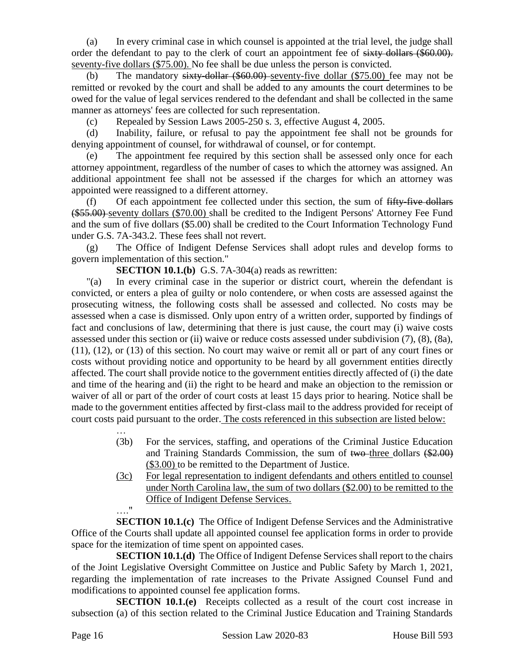(a) In every criminal case in which counsel is appointed at the trial level, the judge shall order the defendant to pay to the clerk of court an appointment fee of sixty dollars (\$60.00). seventy-five dollars (\$75.00). No fee shall be due unless the person is convicted.

(b) The mandatory  $s$  is ty-dollar  $(\$60.00)$ -seventy-five dollar  $(\$75.00)$  fee may not be remitted or revoked by the court and shall be added to any amounts the court determines to be owed for the value of legal services rendered to the defendant and shall be collected in the same manner as attorneys' fees are collected for such representation.

(c) Repealed by Session Laws 2005-250 s. 3, effective August 4, 2005.

(d) Inability, failure, or refusal to pay the appointment fee shall not be grounds for denying appointment of counsel, for withdrawal of counsel, or for contempt.

(e) The appointment fee required by this section shall be assessed only once for each attorney appointment, regardless of the number of cases to which the attorney was assigned. An additional appointment fee shall not be assessed if the charges for which an attorney was appointed were reassigned to a different attorney.

(f) Of each appointment fee collected under this section, the sum of fifty-five dollars (\$55.00) seventy dollars (\$70.00) shall be credited to the Indigent Persons' Attorney Fee Fund and the sum of five dollars (\$5.00) shall be credited to the Court Information Technology Fund under G.S. 7A-343.2. These fees shall not revert.

(g) The Office of Indigent Defense Services shall adopt rules and develop forms to govern implementation of this section."

**SECTION 10.1.(b)** G.S. 7A-304(a) reads as rewritten:

"(a) In every criminal case in the superior or district court, wherein the defendant is convicted, or enters a plea of guilty or nolo contendere, or when costs are assessed against the prosecuting witness, the following costs shall be assessed and collected. No costs may be assessed when a case is dismissed. Only upon entry of a written order, supported by findings of fact and conclusions of law, determining that there is just cause, the court may (i) waive costs assessed under this section or (ii) waive or reduce costs assessed under subdivision (7), (8), (8a), (11), (12), or (13) of this section. No court may waive or remit all or part of any court fines or costs without providing notice and opportunity to be heard by all government entities directly affected. The court shall provide notice to the government entities directly affected of (i) the date and time of the hearing and (ii) the right to be heard and make an objection to the remission or waiver of all or part of the order of court costs at least 15 days prior to hearing. Notice shall be made to the government entities affected by first-class mail to the address provided for receipt of court costs paid pursuant to the order. The costs referenced in this subsection are listed below:

- … (3b) For the services, staffing, and operations of the Criminal Justice Education and Training Standards Commission, the sum of two three dollars (\$2.00) (\$3.00) to be remitted to the Department of Justice.
- (3c) For legal representation to indigent defendants and others entitled to counsel under North Carolina law, the sum of two dollars (\$2.00) to be remitted to the Office of Indigent Defense Services. …."

**SECTION 10.1.(c)** The Office of Indigent Defense Services and the Administrative Office of the Courts shall update all appointed counsel fee application forms in order to provide space for the itemization of time spent on appointed cases.

**SECTION 10.1.(d)** The Office of Indigent Defense Services shall report to the chairs of the Joint Legislative Oversight Committee on Justice and Public Safety by March 1, 2021, regarding the implementation of rate increases to the Private Assigned Counsel Fund and modifications to appointed counsel fee application forms.

**SECTION 10.1.(e)** Receipts collected as a result of the court cost increase in subsection (a) of this section related to the Criminal Justice Education and Training Standards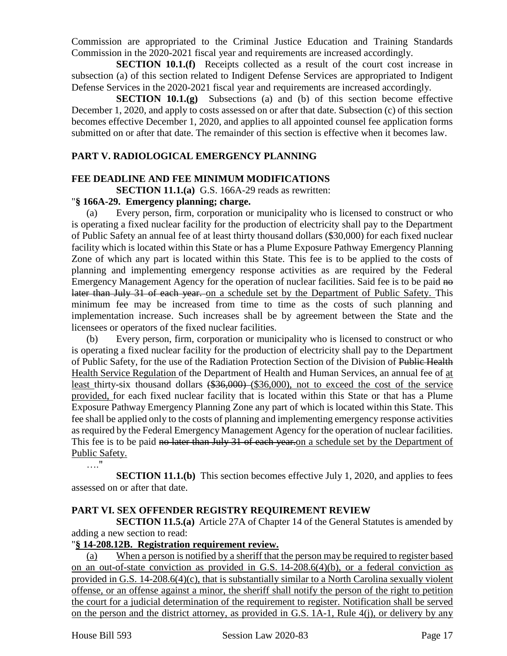Commission are appropriated to the Criminal Justice Education and Training Standards Commission in the 2020-2021 fiscal year and requirements are increased accordingly.

**SECTION 10.1.(f)** Receipts collected as a result of the court cost increase in subsection (a) of this section related to Indigent Defense Services are appropriated to Indigent Defense Services in the 2020-2021 fiscal year and requirements are increased accordingly.

**SECTION 10.1.(g)** Subsections (a) and (b) of this section become effective December 1, 2020, and apply to costs assessed on or after that date. Subsection (c) of this section becomes effective December 1, 2020, and applies to all appointed counsel fee application forms submitted on or after that date. The remainder of this section is effective when it becomes law.

## **PART V. RADIOLOGICAL EMERGENCY PLANNING**

# **FEE DEADLINE AND FEE MINIMUM MODIFICATIONS**

**SECTION 11.1.(a)** G.S. 166A-29 reads as rewritten:

## "**§ 166A-29. Emergency planning; charge.**

(a) Every person, firm, corporation or municipality who is licensed to construct or who is operating a fixed nuclear facility for the production of electricity shall pay to the Department of Public Safety an annual fee of at least thirty thousand dollars (\$30,000) for each fixed nuclear facility which is located within this State or has a Plume Exposure Pathway Emergency Planning Zone of which any part is located within this State. This fee is to be applied to the costs of planning and implementing emergency response activities as are required by the Federal Emergency Management Agency for the operation of nuclear facilities. Said fee is to be paid no later than July 31 of each year. on a schedule set by the Department of Public Safety. This minimum fee may be increased from time to time as the costs of such planning and implementation increase. Such increases shall be by agreement between the State and the licensees or operators of the fixed nuclear facilities.

(b) Every person, firm, corporation or municipality who is licensed to construct or who is operating a fixed nuclear facility for the production of electricity shall pay to the Department of Public Safety, for the use of the Radiation Protection Section of the Division of Public Health Health Service Regulation of the Department of Health and Human Services, an annual fee of at least thirty-six thousand dollars (\$36,000) (\$36,000), not to exceed the cost of the service provided, for each fixed nuclear facility that is located within this State or that has a Plume Exposure Pathway Emergency Planning Zone any part of which is located within this State. This fee shall be applied only to the costs of planning and implementing emergency response activities as required by the Federal Emergency Management Agency for the operation of nuclear facilities. This fee is to be paid no later than July 31 of each year. on a schedule set by the Department of Public Safety.

…."

**SECTION 11.1.(b)** This section becomes effective July 1, 2020, and applies to fees assessed on or after that date.

## **PART VI. SEX OFFENDER REGISTRY REQUIREMENT REVIEW**

**SECTION 11.5.(a)** Article 27A of Chapter 14 of the General Statutes is amended by adding a new section to read:

#### "**§ 14-208.12B. Registration requirement review.**

(a) When a person is notified by a sheriff that the person may be required to register based on an out-of-state conviction as provided in G.S. 14-208.6(4)(b), or a federal conviction as provided in G.S. 14-208.6(4)(c), that is substantially similar to a North Carolina sexually violent offense, or an offense against a minor, the sheriff shall notify the person of the right to petition the court for a judicial determination of the requirement to register. Notification shall be served on the person and the district attorney, as provided in G.S. 1A-1, Rule 4(j), or delivery by any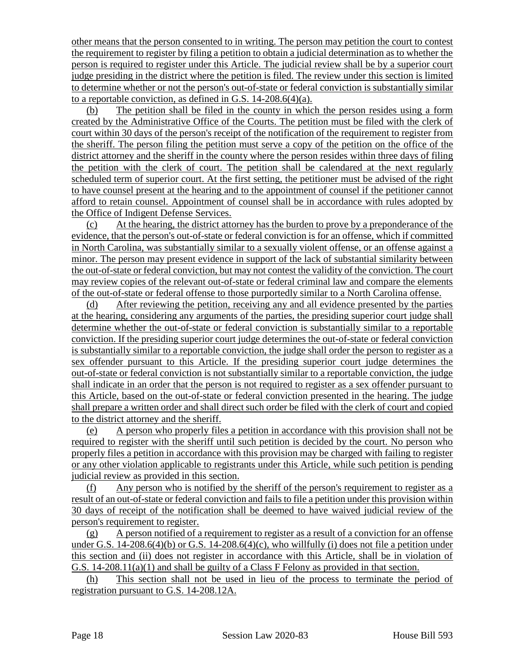other means that the person consented to in writing. The person may petition the court to contest the requirement to register by filing a petition to obtain a judicial determination as to whether the person is required to register under this Article. The judicial review shall be by a superior court judge presiding in the district where the petition is filed. The review under this section is limited to determine whether or not the person's out-of-state or federal conviction is substantially similar to a reportable conviction, as defined in G.S. 14-208.6(4)(a).

(b) The petition shall be filed in the county in which the person resides using a form created by the Administrative Office of the Courts. The petition must be filed with the clerk of court within 30 days of the person's receipt of the notification of the requirement to register from the sheriff. The person filing the petition must serve a copy of the petition on the office of the district attorney and the sheriff in the county where the person resides within three days of filing the petition with the clerk of court. The petition shall be calendared at the next regularly scheduled term of superior court. At the first setting, the petitioner must be advised of the right to have counsel present at the hearing and to the appointment of counsel if the petitioner cannot afford to retain counsel. Appointment of counsel shall be in accordance with rules adopted by the Office of Indigent Defense Services.

(c) At the hearing, the district attorney has the burden to prove by a preponderance of the evidence, that the person's out-of-state or federal conviction is for an offense, which if committed in North Carolina, was substantially similar to a sexually violent offense, or an offense against a minor. The person may present evidence in support of the lack of substantial similarity between the out-of-state or federal conviction, but may not contest the validity of the conviction. The court may review copies of the relevant out-of-state or federal criminal law and compare the elements of the out-of-state or federal offense to those purportedly similar to a North Carolina offense.

(d) After reviewing the petition, receiving any and all evidence presented by the parties at the hearing, considering any arguments of the parties, the presiding superior court judge shall determine whether the out-of-state or federal conviction is substantially similar to a reportable conviction. If the presiding superior court judge determines the out-of-state or federal conviction is substantially similar to a reportable conviction, the judge shall order the person to register as a sex offender pursuant to this Article. If the presiding superior court judge determines the out-of-state or federal conviction is not substantially similar to a reportable conviction, the judge shall indicate in an order that the person is not required to register as a sex offender pursuant to this Article, based on the out-of-state or federal conviction presented in the hearing. The judge shall prepare a written order and shall direct such order be filed with the clerk of court and copied to the district attorney and the sheriff.

(e) A person who properly files a petition in accordance with this provision shall not be required to register with the sheriff until such petition is decided by the court. No person who properly files a petition in accordance with this provision may be charged with failing to register or any other violation applicable to registrants under this Article, while such petition is pending judicial review as provided in this section.

(f) Any person who is notified by the sheriff of the person's requirement to register as a result of an out-of-state or federal conviction and fails to file a petition under this provision within 30 days of receipt of the notification shall be deemed to have waived judicial review of the person's requirement to register.

(g) A person notified of a requirement to register as a result of a conviction for an offense under G.S.  $14$ -208.6(4)(b) or G.S.  $14$ -208.6(4)(c), who willfully (i) does not file a petition under this section and (ii) does not register in accordance with this Article, shall be in violation of G.S. 14-208.11(a)(1) and shall be guilty of a Class F Felony as provided in that section.

(h) This section shall not be used in lieu of the process to terminate the period of registration pursuant to G.S. 14-208.12A.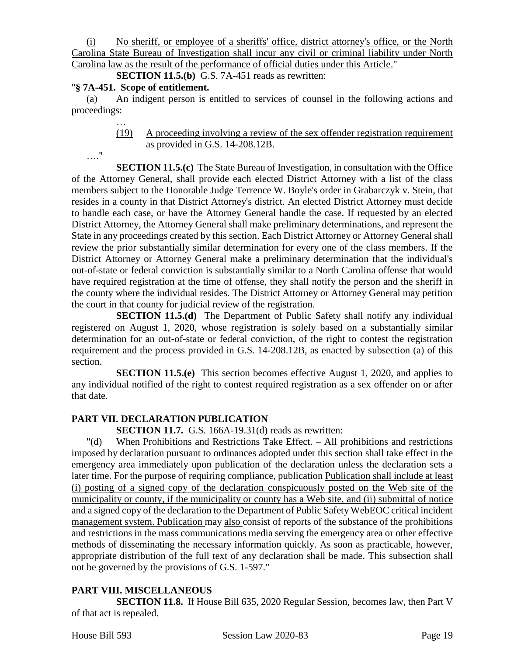(i) No sheriff, or employee of a sheriffs' office, district attorney's office, or the North Carolina State Bureau of Investigation shall incur any civil or criminal liability under North Carolina law as the result of the performance of official duties under this Article."

**SECTION 11.5.(b)** G.S. 7A-451 reads as rewritten:

## "**§ 7A-451. Scope of entitlement.**

(a) An indigent person is entitled to services of counsel in the following actions and proceedings:

> … (19) A proceeding involving a review of the sex offender registration requirement as provided in G.S. 14-208.12B.

…."

**SECTION 11.5.(c)** The State Bureau of Investigation, in consultation with the Office of the Attorney General, shall provide each elected District Attorney with a list of the class members subject to the Honorable Judge Terrence W. Boyle's order in Grabarczyk v. Stein, that resides in a county in that District Attorney's district. An elected District Attorney must decide to handle each case, or have the Attorney General handle the case. If requested by an elected District Attorney, the Attorney General shall make preliminary determinations, and represent the State in any proceedings created by this section. Each District Attorney or Attorney General shall review the prior substantially similar determination for every one of the class members. If the District Attorney or Attorney General make a preliminary determination that the individual's out-of-state or federal conviction is substantially similar to a North Carolina offense that would have required registration at the time of offense, they shall notify the person and the sheriff in the county where the individual resides. The District Attorney or Attorney General may petition the court in that county for judicial review of the registration.

**SECTION 11.5.(d)** The Department of Public Safety shall notify any individual registered on August 1, 2020, whose registration is solely based on a substantially similar determination for an out-of-state or federal conviction, of the right to contest the registration requirement and the process provided in G.S. 14-208.12B, as enacted by subsection (a) of this section.

**SECTION 11.5.(e)** This section becomes effective August 1, 2020, and applies to any individual notified of the right to contest required registration as a sex offender on or after that date.

# **PART VII. DECLARATION PUBLICATION**

**SECTION 11.7.** G.S. 166A-19.31(d) reads as rewritten:

"(d) When Prohibitions and Restrictions Take Effect. – All prohibitions and restrictions imposed by declaration pursuant to ordinances adopted under this section shall take effect in the emergency area immediately upon publication of the declaration unless the declaration sets a later time. For the purpose of requiring compliance, publication Publication shall include at least (i) posting of a signed copy of the declaration conspicuously posted on the Web site of the municipality or county, if the municipality or county has a Web site, and (ii) submittal of notice and a signed copy of the declaration to the Department of Public Safety WebEOC critical incident management system. Publication may also consist of reports of the substance of the prohibitions and restrictions in the mass communications media serving the emergency area or other effective methods of disseminating the necessary information quickly. As soon as practicable, however, appropriate distribution of the full text of any declaration shall be made. This subsection shall not be governed by the provisions of G.S. 1-597."

# **PART VIII. MISCELLANEOUS**

**SECTION 11.8.** If House Bill 635, 2020 Regular Session, becomes law, then Part V of that act is repealed.